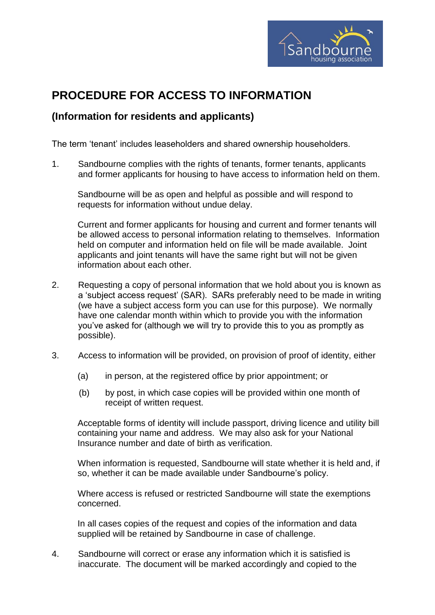

## **PROCEDURE FOR ACCESS TO INFORMATION**

## **(Information for residents and applicants)**

The term 'tenant' includes leaseholders and shared ownership householders.

1. Sandbourne complies with the rights of tenants, former tenants, applicants and former applicants for housing to have access to information held on them.

Sandbourne will be as open and helpful as possible and will respond to requests for information without undue delay.

Current and former applicants for housing and current and former tenants will be allowed access to personal information relating to themselves. Information held on computer and information held on file will be made available. Joint applicants and joint tenants will have the same right but will not be given information about each other.

- 2. Requesting a copy of personal information that we hold about you is known as a 'subject access request' (SAR). SARs preferably need to be made in writing (we have a subject access form you can use for this purpose). We normally have one calendar month within which to provide you with the information you've asked for (although we will try to provide this to you as promptly as possible).
- 3. Access to information will be provided, on provision of proof of identity, either
	- (a) in person, at the registered office by prior appointment; or
	- (b) by post, in which case copies will be provided within one month of receipt of written request.

Acceptable forms of identity will include passport, driving licence and utility bill containing your name and address. We may also ask for your National Insurance number and date of birth as verification.

When information is requested, Sandbourne will state whether it is held and, if so, whether it can be made available under Sandbourne's policy.

Where access is refused or restricted Sandbourne will state the exemptions concerned.

In all cases copies of the request and copies of the information and data supplied will be retained by Sandbourne in case of challenge.

4. Sandbourne will correct or erase any information which it is satisfied is inaccurate. The document will be marked accordingly and copied to the